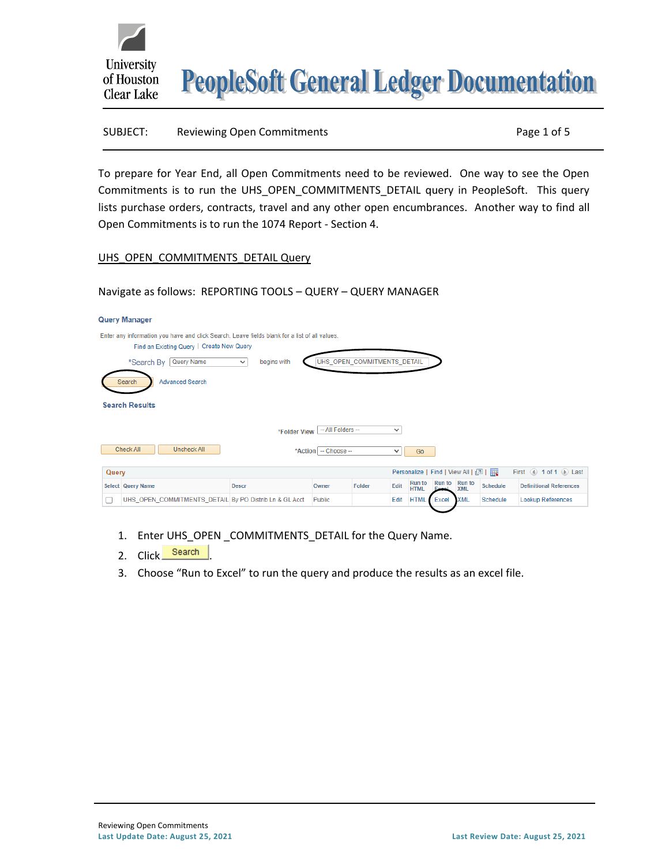



#### SUBJECT: Reviewing Open Commitments Page 1 of 5

To prepare for Year End, all Open Commitments need to be reviewed. One way to see the Open Commitments is to run the UHS\_OPEN\_COMMITMENTS\_DETAIL query in PeopleSoft. This query lists purchase orders, contracts, travel and any other open encumbrances. Another way to find all Open Commitments is to run the 1074 Report - Section 4.

#### UHS\_OPEN\_COMMITMENTS\_DETAIL Query

# Navigate as follows: REPORTING TOOLS – QUERY – QUERY MANAGER

|                                              | <b>Query Manager</b>                                                                                                                       |              |        |        |      |                              |       |                             |                                                                                                               |                                |  |  |  |  |
|----------------------------------------------|--------------------------------------------------------------------------------------------------------------------------------------------|--------------|--------|--------|------|------------------------------|-------|-----------------------------|---------------------------------------------------------------------------------------------------------------|--------------------------------|--|--|--|--|
|                                              | Enter any information you have and click Search. Leave fields blank for a list of all values.<br>Find an Existing Query   Create New Query |              |        |        |      |                              |       |                             |                                                                                                               |                                |  |  |  |  |
|                                              | UHS_OPEN_COMMITMENTS_DETAIL<br>Query Name<br>begins with<br>*Search By<br>$\checkmark$                                                     |              |        |        |      |                              |       |                             |                                                                                                               |                                |  |  |  |  |
|                                              | <b>Advanced Search</b><br>Search                                                                                                           |              |        |        |      |                              |       |                             |                                                                                                               |                                |  |  |  |  |
|                                              | <b>Search Results</b>                                                                                                                      |              |        |        |      |                              |       |                             |                                                                                                               |                                |  |  |  |  |
|                                              | -- All Folders --<br>$\checkmark$<br>*Folder View                                                                                          |              |        |        |      |                              |       |                             |                                                                                                               |                                |  |  |  |  |
|                                              | Check All<br><b>Uncheck All</b><br>*Action   -- Choose --<br>Go<br>◡                                                                       |              |        |        |      |                              |       |                             |                                                                                                               |                                |  |  |  |  |
| Personalize   Find   View All   2  <br>Query |                                                                                                                                            |              |        |        |      |                              |       |                             | First $\textcircled{\tiny{\textcircled{\tiny{1}}}}$ 1 of 1 $\textcircled{\tiny{\textcircled{\tiny{1}}}}$ Last |                                |  |  |  |  |
|                                              | Select Query Name                                                                                                                          | <b>Descr</b> | Owner  | Folder | Edit | <b>Run</b> to<br><b>HTML</b> |       | Run to Run to<br><b>XML</b> | Schedule                                                                                                      | <b>Definitional References</b> |  |  |  |  |
| г                                            | UHS_OPEN_COMMITMENTS_DETAIL By PO Distrib Ln & GL Acct                                                                                     |              | Public |        | Edit | <b>HTML</b>                  | Excel | <b>XML</b>                  | Schedule                                                                                                      | Lookup References              |  |  |  |  |

- 1. Enter UHS\_OPEN COMMITMENTS\_DETAIL for the Query Name.
- 2. Click Search
- 3. Choose "Run to Excel" to run the query and produce the results as an excel file.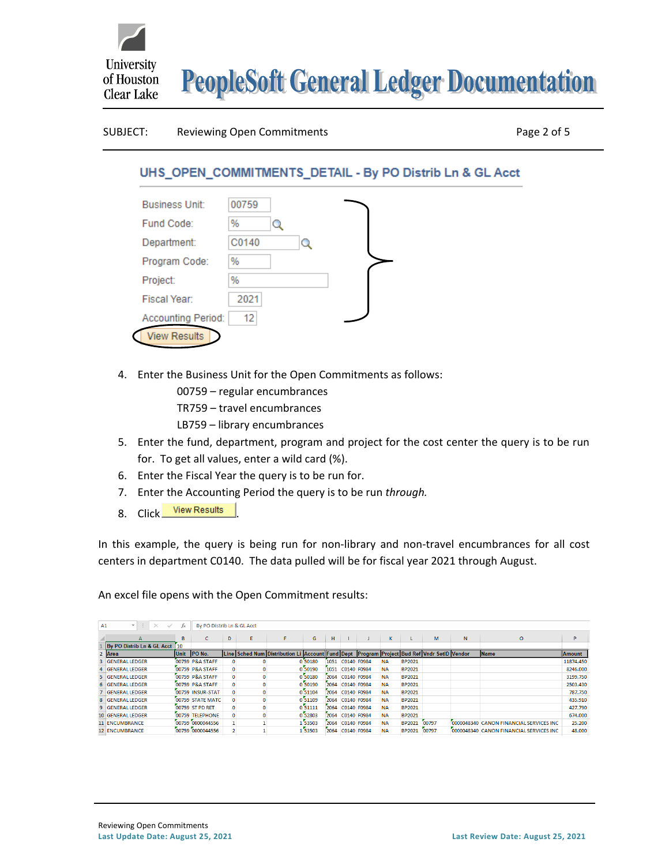

#### SUBJECT: Reviewing Open Commitments **Page 2 of 5**

# UHS\_OPEN\_COMMITMENTS\_DETAIL - By PO Distrib Ln & GL Acct

| <b>Business Unit:</b>     | 00759  |   |  |
|---------------------------|--------|---|--|
| Fund Code:                | %<br>o |   |  |
| Department:               | C0140  | Ω |  |
| Program Code:             | %      |   |  |
| Project:                  | %      |   |  |
| Fiscal Year:              | 2021   |   |  |
| <b>Accounting Period:</b> | 12     |   |  |
| <b>View Results</b>       |        |   |  |

- 4. Enter the Business Unit for the Open Commitments as follows:
	- 00759 regular encumbrances
	- TR759 travel encumbrances
	- LB759 library encumbrances
- 5. Enter the fund, department, program and project for the cost center the query is to be run for. To get all values, enter a wild card (%).
- 6. Enter the Fiscal Year the query is to be run for.
- 7. Enter the Accounting Period the query is to be run *through.*
- 8. Click View Results

In this example, the query is being run for non-library and non-travel encumbrances for all cost centers in department C0140. The data pulled will be for fiscal year 2021 through August.

An excel file opens with the Open Commitment results:

| million<br>By PO Distrib Ln & GL Acct<br>A1<br>$\times$<br>fх |    |      |                  |              |    |                                                                                             |         |      |                  |  |           |               |       |   |                                          |           |
|---------------------------------------------------------------|----|------|------------------|--------------|----|---------------------------------------------------------------------------------------------|---------|------|------------------|--|-----------|---------------|-------|---|------------------------------------------|-----------|
| A                                                             |    | B    | c.               | D            | Ε. | F.                                                                                          | G       | H    |                  |  | к         |               | M     | N | $\circ$                                  | P         |
| By PO Distrib Ln & GL Acct                                    | 10 |      |                  |              |    |                                                                                             |         |      |                  |  |           |               |       |   |                                          |           |
| Area                                                          |    | Unit | $ PO$ No.        |              |    | Line Sched Num Distribution Li Account Fund Dept _Program Project Bud Ref Vndr SetID Vendor |         |      |                  |  |           |               |       |   | Name                                     | Amount    |
| <b>3 GENERAL LEDGER</b>                                       |    |      | 00759 P&A STAFF  |              |    |                                                                                             | 0 50180 | 1051 | C0140 F0984      |  | <b>NA</b> | BP2021        |       |   |                                          | 11874.450 |
| 4 GENERAL LEDGER                                              |    |      | 00759 P&A STAFF  | $\Omega$     |    |                                                                                             | 0 50190 | 1051 | C0140 F0984      |  | <b>NA</b> | <b>BP2021</b> |       |   |                                          | 8246.000  |
| 5 GENERAL LEDGER                                              |    |      | 00759 P&A STAFF  | $\mathbf{0}$ |    |                                                                                             | 0 50180 | 2064 | C0140 F0984      |  | <b>NA</b> | <b>BP2021</b> |       |   |                                          | 3199.750  |
| 6 GENERAL LEDGER                                              |    |      | 00759 P&A STAFF  | $\mathbf{0}$ |    |                                                                                             | 0 50190 | 2064 | C0140 F0984      |  | <b>NA</b> | <b>BP2021</b> |       |   |                                          | 2503.430  |
| 7 GENERAL LEDGER                                              |    |      | 00759 INSUR-STAT |              |    |                                                                                             | 0 51104 | 2064 | C0140 F0984      |  | <b>NA</b> | <b>BP2021</b> |       |   |                                          | 787.750   |
| 8 GENERAL LEDGER                                              |    |      | 00759 STATE MATC |              |    |                                                                                             | 0 51109 |      | 2064 C0140 F0984 |  | <b>NA</b> | <b>BP2021</b> |       |   |                                          | 435.910   |
| 9 GENERAL LEDGER                                              |    |      | 00759 ST PD RET  | $\mathbf{0}$ |    |                                                                                             | 0 51111 | 2064 | C0140 F0984      |  | <b>NA</b> | <b>BP2021</b> |       |   |                                          | 427.790   |
| <b>10 GENERAL LEDGER</b>                                      |    |      | 00759 TELEPHONE  | $\Omega$     |    |                                                                                             | 0 52803 | 2064 | C0140 F0984      |  | <b>NA</b> | <b>BP2021</b> |       |   |                                          | 674,000   |
| 11 ENCUMBRANCE                                                |    |      | 00759 0000044556 |              |    |                                                                                             | 153503  | 2064 | C0140 F0984      |  | <b>NA</b> | <b>BP2021</b> | 00797 |   | 0000048340 CANON FINANCIAL SERVICES INC. | 25,200    |
| <b>12 ENCUMBRANCE</b>                                         |    |      | 00759 0000044556 |              |    |                                                                                             | 53503   | 2064 | C0140 F0984      |  | <b>NA</b> | <b>BP2021</b> | 00797 |   | 0000048340 CANON FINANCIAL SERVICES INC. | 48.000    |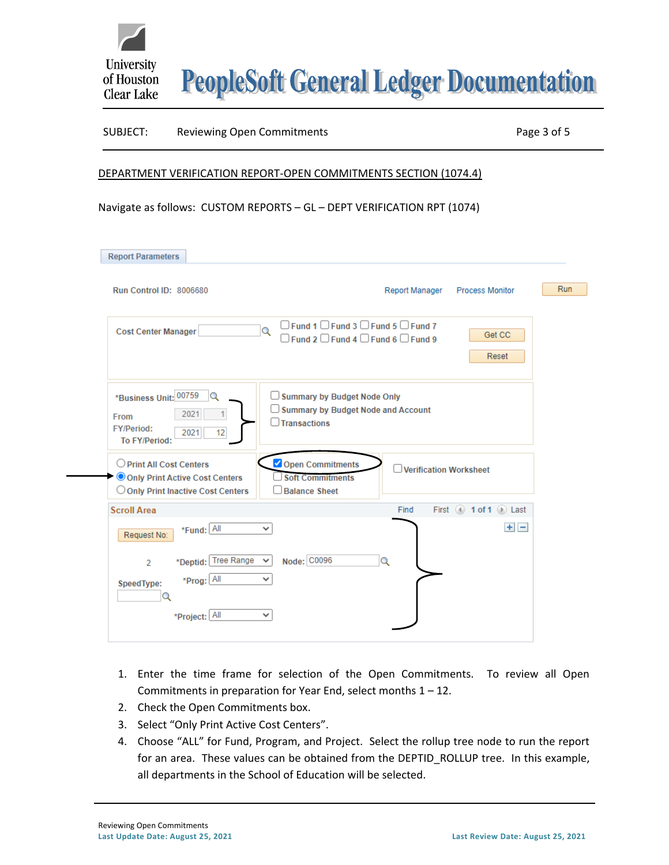

**PeopleSoft General Ledger Documentation** 

#### SUBJECT: Reviewing Open Commitments **Page 3 of 5**

#### DEPARTMENT VERIFICATION REPORT-OPEN COMMITMENTS SECTION (1074.4)

Navigate as follows: CUSTOM REPORTS – GL – DEPT VERIFICATION RPT (1074)

| <b>Report Parameters</b>                                                                                   |                                                                                                                                            |     |
|------------------------------------------------------------------------------------------------------------|--------------------------------------------------------------------------------------------------------------------------------------------|-----|
| <b>Run Control ID: 8006680</b>                                                                             | Report Manager Process Monitor                                                                                                             | Run |
| <b>Cost Center Manager</b>                                                                                 | $\Box$ Fund 1 $\Box$ Fund 3 $\Box$ Fund 5 $\Box$ Fund 7<br>Q<br>Get CC<br>$\Box$ Fund 2 $\Box$ Fund 4 $\Box$ Fund 6 $\Box$ Fund 9<br>Reset |     |
| *Business Unit: 00759<br>Q<br>2021<br>1<br><b>From</b><br><b>FY/Period:</b><br>2021<br>12<br>To FY/Period: | Summary by Budget Node Only<br>$\Box$ Summary by Budget Node and Account<br>Transactions                                                   |     |
| O Print All Cost Centers<br>O Only Print Active Cost Centers<br>O Only Print Inactive Cost Centers         | Open Commitments<br><b>Verification Worksheet</b><br><b>Soft Commitments</b><br><b>Balance Sheet</b>                                       |     |
| <b>Scroll Area</b>                                                                                         | First $\left($ 1 of 1 $\left($ $\right)$ Last<br>Find                                                                                      |     |
| *Fund: All<br>Request No:<br>*Deptid: Tree Range<br>$\overline{2}$                                         | $+$ $-$<br>✓<br>Node: C0096<br>Q                                                                                                           |     |
| *Prog: All<br>SpeedType:<br>Q                                                                              | v                                                                                                                                          |     |
| *Project: All                                                                                              | ◡                                                                                                                                          |     |

- 1. Enter the time frame for selection of the Open Commitments. To review all Open Commitments in preparation for Year End, select months 1 – 12.
- 2. Check the Open Commitments box.
- 3. Select "Only Print Active Cost Centers".
- 4. Choose "ALL" for Fund, Program, and Project. Select the rollup tree node to run the report for an area. These values can be obtained from the DEPTID\_ROLLUP tree. In this example, all departments in the School of Education will be selected.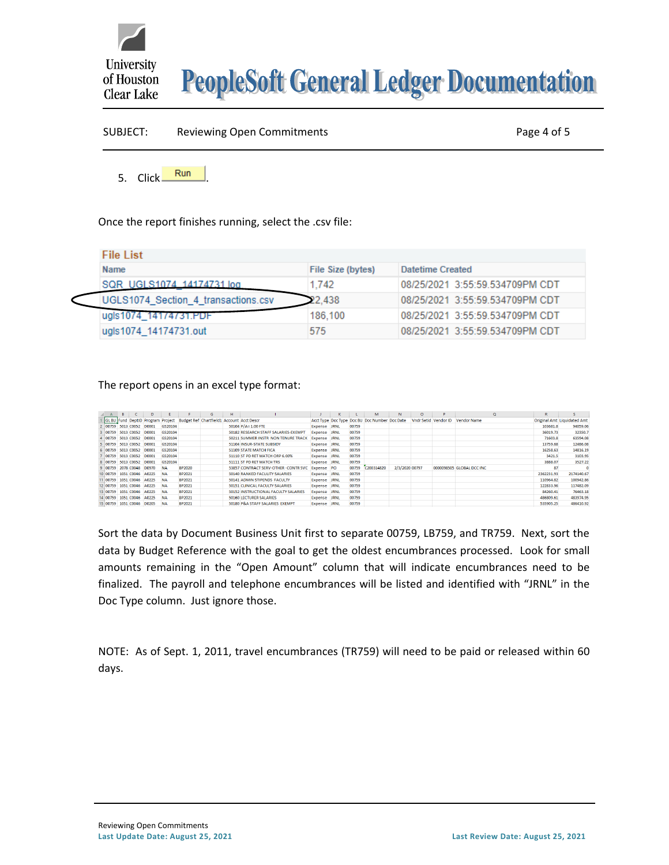

# **PeopleSoft General Ledger Documentation**

| SUBJECT:     | <b>Reviewing Open Commitments</b> | Page 4 of 5 |  |  |
|--------------|-----------------------------------|-------------|--|--|
| 5. Click Run |                                   |             |  |  |

Once the report finishes running, select the .csv file:

| <b>File List</b>                    |                   |                                 |  |  |  |  |  |  |  |  |  |
|-------------------------------------|-------------------|---------------------------------|--|--|--|--|--|--|--|--|--|
| Name                                | File Size (bytes) | Datetime Created                |  |  |  |  |  |  |  |  |  |
| SQR UGLS1074 14174731.log           | 1.742             | 08/25/2021 3:55:59.534709PM CDT |  |  |  |  |  |  |  |  |  |
| UGLS1074 Section 4 transactions.csv | 22.438            | 08/25/2021 3:55:59.534709PM CDT |  |  |  |  |  |  |  |  |  |
| ugls1074 141/4/31.PDF               | 186,100           | 08/25/2021 3:55:59.534709PM CDT |  |  |  |  |  |  |  |  |  |
| ugls1074_14174731.out               | 575               | 08/25/2021 3:55:59.534709PM CDT |  |  |  |  |  |  |  |  |  |

# The report opens in an excel type format:

| A                   | B |                           | D                         |           |               | G                                                                           | н. |                                      |                     | к |       | м                                             | N              | $\circ$ | Þ | Q                                | $\mathbb{R}$ |                             |
|---------------------|---|---------------------------|---------------------------|-----------|---------------|-----------------------------------------------------------------------------|----|--------------------------------------|---------------------|---|-------|-----------------------------------------------|----------------|---------|---|----------------------------------|--------------|-----------------------------|
|                     |   |                           |                           |           |               | GL BU Fund DeptID Program Project Budget Ref Chartfield1 Account Acct Descr |    |                                      |                     |   |       | Acct Type Doc Type Doc BU Doc Number Doc Date |                |         |   | Vndr Setid Vendor ID Vendor Name |              | Original Amt Liquidated Amt |
|                     |   | 2 00759 5013 C0052 D0001  |                           | G520104   |               |                                                                             |    | 50104 $P/A = 1.00$ FTE               | Expense JRNL        |   | 00759 |                                               |                |         |   |                                  | 103681.8     | 94059.06                    |
| 3 00759 5013 C0052  |   |                           | D0001                     | G520104   |               |                                                                             |    | 50182 RESEARCH STAFF SALARIES-EXEMPT | Expense JRNL        |   | 00759 |                                               |                |         |   |                                  | 36019.73     | 32350.7                     |
|                     |   | 4 00759 5013 C0052 D0001  |                           | G520104   |               |                                                                             |    | 50211 SUMMER INSTR NON TENURE TRACK  | Expense JRNL        |   | 00759 |                                               |                |         |   |                                  | 71603.8      | 63594.08                    |
|                     |   | 5 00759 5013 C0052 D0001  |                           | G520104   |               |                                                                             |    | 51104 INSUR-STATE SUBSIDY            | Expense JRNL        |   | 00759 |                                               |                |         |   |                                  | 13759.68     | 12486.08                    |
| 6 00759 5013 C0052  |   |                           | D0001                     | G520104   |               |                                                                             |    | 51109 STATE MATCH FICA               | <b>Expense JRNL</b> |   | 00759 |                                               |                |         |   |                                  | 16258.63     | 14816.19                    |
|                     |   |                           | 00759 5013 C0052 D0001    | G520104   |               |                                                                             |    | 51110 ST PD RET MATCH ORP 6,00%      | Expense JRNL        |   | 00759 |                                               |                |         |   |                                  | 3421.5       | 3103.95                     |
|                     |   | 8 00759 5013 C0052 D0001  |                           | G520104   |               |                                                                             |    | 51111 ST PD RET MATCH TRS            | Expense JRNL        |   | 00759 |                                               |                |         |   |                                  | 3888.07      | 3527.22                     |
| 9 00759 2078 C0048  |   |                           | D0970                     | <b>NA</b> | <b>BP2020</b> |                                                                             |    | 53857 CONTRACT SERV-OTHER -CONTR SVC | Expense PO          |   | 00759 | C200314820                                    | 2/3/2020 00797 |         |   | 0000098505 GLOBAL DCC INC        | 87           |                             |
|                     |   |                           | 10 00759 1051 C0046 A0225 | <b>NA</b> | BP2021        |                                                                             |    | 50140 RANKED FACULITY SALARIES       | Expense JRNL        |   | 00759 |                                               |                |         |   |                                  | 2362231.93   | 2174140.67                  |
|                     |   |                           | 11 00759 1051 C0046 A0225 | <b>NA</b> | <b>BP2021</b> |                                                                             |    | 50141 ADMIN STIPENDS FACULTY         | Expense JRNL        |   | 00759 |                                               |                |         |   |                                  | 110964.82    | 100942.86                   |
| 12 00759 1051 C0046 |   |                           | A0225                     | <b>NA</b> | BP2021        |                                                                             |    | 50151 CLINICAL FACULTY SALARIES      | Expense JRNL        |   | 00759 |                                               |                |         |   |                                  | 122833.96    | 117482.09                   |
|                     |   | 13 00759 1051 C0046 A0225 |                           | <b>NA</b> | <b>BP2021</b> |                                                                             |    | 50152 INSTRUCTIONAL FACULTY SALARIES | Expense JRNL        |   | 00759 |                                               |                |         |   |                                  | 84260.41     | 76463.18                    |
|                     |   |                           | 14 00759 1051 C0046 A0225 | <b>NA</b> | BP2021        |                                                                             |    | <b>50160 LECTURER SALARIES</b>       | Expense JRNL        |   | 00759 |                                               |                |         |   |                                  | 486809.61    | 483974.95                   |
| 15 00759 1051 C0046 |   |                           | D0205                     | <b>NA</b> | BP2021        |                                                                             |    | 50180 P&A STAFF SALARIES EXEMPT      | Expense JRNL        |   | 00759 |                                               |                |         |   |                                  | 535905.25    | 486410.92                   |

Sort the data by Document Business Unit first to separate 00759, LB759, and TR759. Next, sort the data by Budget Reference with the goal to get the oldest encumbrances processed. Look for small amounts remaining in the "Open Amount" column that will indicate encumbrances need to be finalized. The payroll and telephone encumbrances will be listed and identified with "JRNL" in the Doc Type column. Just ignore those.

NOTE: As of Sept. 1, 2011, travel encumbrances (TR759) will need to be paid or released within 60 days.